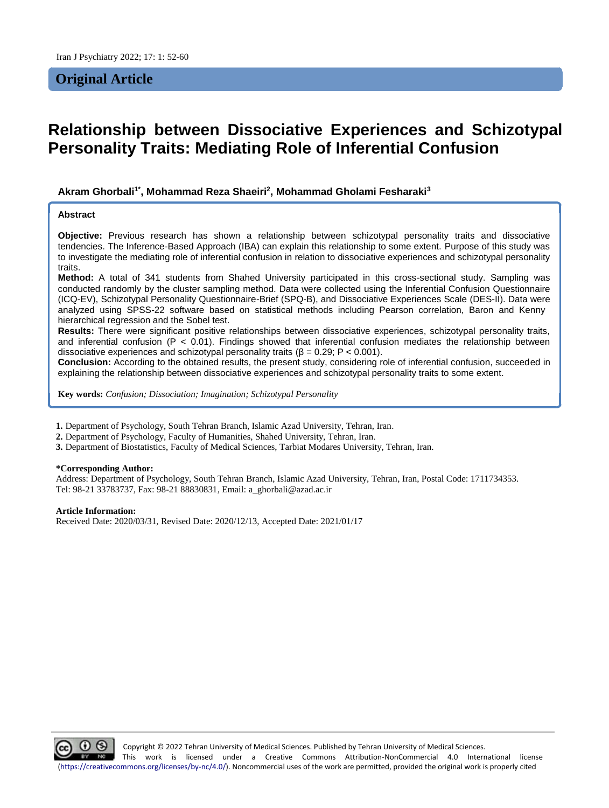## **Original Article**

# **Relationship between Dissociative Experiences and Schizotypal Personality Traits: Mediating Role of Inferential Confusion**

## **Akram Ghorbali1\*, Mohammad Reza Shaeiri<sup>2</sup> , Mohammad Gholami Fesharaki<sup>3</sup>**

#### **Abstract**

**Objective:** Previous research has shown a relationship between schizotypal personality traits and dissociative tendencies. The Inference-Based Approach (IBA) can explain this relationship to some extent. Purpose of this study was to investigate the mediating role of inferential confusion in relation to dissociative experiences and schizotypal personality traits.

**Method:** A total of 341 students from Shahed University participated in this cross-sectional study. Sampling was conducted randomly by the cluster sampling method. Data were collected using the Inferential Confusion Questionnaire (ICQ-EV), Schizotypal Personality Questionnaire-Brief (SPQ-B), and Dissociative Experiences Scale (DES-II). Data were analyzed using SPSS-22 software based on statistical methods including Pearson correlation, Baron and Kenny hierarchical regression and the Sobel test.

**Results:** There were significant positive relationships between dissociative experiences, schizotypal personality traits, and inferential confusion ( $P < 0.01$ ). Findings showed that inferential confusion mediates the relationship between dissociative experiences and schizotypal personality traits ( $\beta = 0.29$ ; P < 0.001).

**Conclusion:** According to the obtained results, the present study, considering role of inferential confusion, succeeded in explaining the relationship between dissociative experiences and schizotypal personality traits to some extent.

**Key words:** *Confusion; Dissociation; Imagination; Schizotypal Personality*

**1.** Department of Psychology, South Tehran Branch, Islamic Azad University, Tehran, Iran.

**2.** Department of Psychology, Faculty of Humanities, Shahed University, Tehran, Iran.

**3.** Department of Biostatistics, Faculty of Medical Sciences, Tarbiat Modares University, Tehran, Iran.

#### **\*Corresponding Author:**

Address: Department of Psychology, South Tehran Branch, Islamic Azad University, Tehran, Iran, Postal Code: 1711734353. Tel: 98-21 33783737, Fax: 98-21 88830831, Email: a\_ghorbali@azad.ac.ir

**Article Information:**

Received Date: 2020/03/31, Revised Date: 2020/12/13, Accepted Date: 2021/01/17

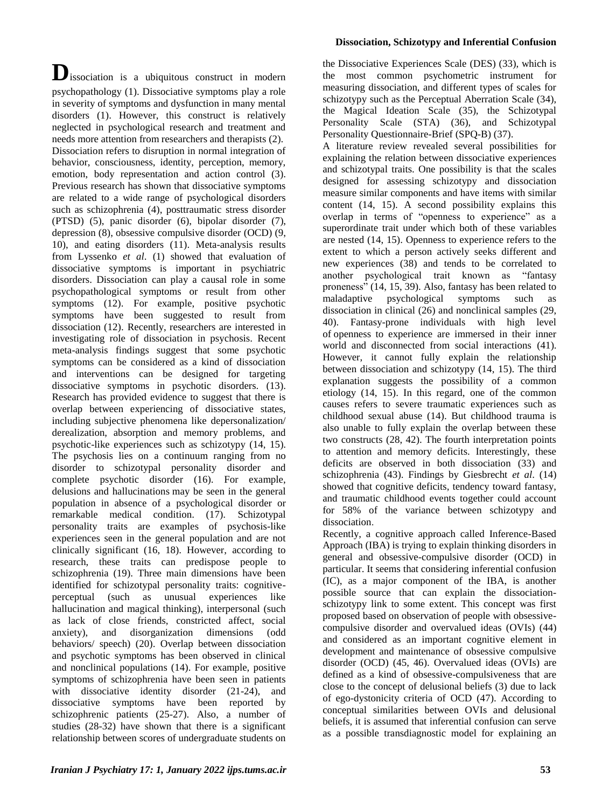**D**issociation is a ubiquitous construct in modern psychopathology (1). Dissociative symptoms play a role in severity of symptoms and dysfunction in many mental disorders (1). However, this construct is relatively neglected in psychological research and treatment and needs more attention from researchers and therapists (2). Dissociation refers to disruption in normal integration of behavior, consciousness, identity, perception, memory, emotion, body representation and action control (3). Previous research has shown that dissociative symptoms are related to a wide range of psychological disorders such as schizophrenia (4), posttraumatic stress disorder (PTSD) (5), panic disorder (6), bipolar disorder (7), depression (8), obsessive compulsive disorder (OCD) (9, 10), and eating disorders (11). Meta-analysis results from Lyssenko *et al*. (1) showed that evaluation of dissociative symptoms is important in psychiatric disorders. Dissociation can play a causal role in some psychopathological symptoms or result from other symptoms (12). For example, positive psychotic symptoms have been suggested to result from dissociation (12). Recently, researchers are interested in investigating role of dissociation in psychosis. Recent meta-analysis findings suggest that some psychotic symptoms can be considered as a kind of dissociation and interventions can be designed for targeting dissociative symptoms in psychotic disorders. (13). Research has provided evidence to suggest that there is overlap between experiencing of dissociative states, including subjective phenomena like depersonalization/ derealization, absorption and memory problems, and psychotic-like experiences such as schizotypy (14, 15). The psychosis lies on a continuum ranging from no disorder to schizotypal personality disorder and complete psychotic disorder (16). For example, delusions and hallucinations may be seen in the general population in absence of a psychological disorder or remarkable medical condition. (17). Schizotypal personality traits are examples of psychosis-like experiences seen in the general population and are not clinically significant (16, 18). However, according to research, these traits can predispose people to schizophrenia (19). Three main dimensions have been identified for schizotypal personality traits: cognitiveperceptual (such as unusual experiences like hallucination and magical thinking), interpersonal (such as lack of close friends, constricted affect, social anxiety), and disorganization dimensions (odd behaviors/ speech) (20). Overlap between dissociation and psychotic symptoms has been observed in clinical and nonclinical populations (14). For example, positive symptoms of schizophrenia have been seen in patients with dissociative identity disorder (21-24), and dissociative symptoms have been reported by schizophrenic patients (25-27). Also, a number of studies (28-32) have shown that there is a significant relationship between scores of undergraduate students on

## **Dissociation, Schizotypy and Inferential Confusion**

the Dissociative Experiences Scale (DES) (33), which is the most common psychometric instrument for measuring dissociation, and different types of scales for schizotypy such as the Perceptual Aberration Scale (34), the Magical Ideation Scale (35), the Schizotypal Personality Scale (STA) (36), and Schizotypal Personality Questionnaire-Brief (SPQ-B) (37).

A literature review revealed several possibilities for explaining the relation between dissociative experiences and schizotypal traits. One possibility is that the scales designed for assessing schizotypy and dissociation measure similar components and have items with similar content (14, 15). A second possibility explains this overlap in terms of "openness to experience" as a superordinate trait under which both of these variables are nested (14, 15). Openness to experience refers to the extent to which a person actively seeks different and new experiences (38) and tends to be correlated to another psychological trait known as "fantasy proneness" (14, 15, 39). Also, fantasy has been related to maladaptive psychological symptoms such as dissociation in clinical (26) and nonclinical samples (29, 40). Fantasy-prone individuals with high level of openness to experience are immersed in their inner world and disconnected from social interactions (41). However, it cannot fully explain the relationship between dissociation and schizotypy (14, 15). The third explanation suggests the possibility of a common etiology (14, 15). In this regard, one of the common causes refers to severe traumatic experiences such as childhood sexual abuse (14). But childhood trauma is also unable to fully explain the overlap between these two constructs (28, 42). The fourth interpretation points to attention and memory deficits. Interestingly, these deficits are observed in both dissociation (33) and schizophrenia (43). Findings by Giesbrecht *et al*. (14) showed that cognitive deficits, tendency toward fantasy, and traumatic childhood events together could account for 58% of the variance between schizotypy and dissociation.

Recently, a cognitive approach called Inference-Based Approach (IBA) is trying to explain thinking disorders in general and obsessive-compulsive disorder (OCD) in particular. It seems that considering inferential confusion (IC), as a major component of the IBA, is another possible source that can explain the dissociationschizotypy link to some extent. This concept was first proposed based on observation of people with obsessivecompulsive disorder and overvalued ideas (OVIs) (44) and considered as an important cognitive element in development and maintenance of obsessive compulsive disorder (OCD) (45, 46). Overvalued ideas (OVIs) are defined as a kind of obsessive-compulsiveness that are close to the concept of delusional beliefs (3) due to lack of ego-dystonicity criteria of OCD (47). According to conceptual similarities between OVIs and delusional beliefs, it is assumed that inferential confusion can serve as a possible transdiagnostic model for explaining an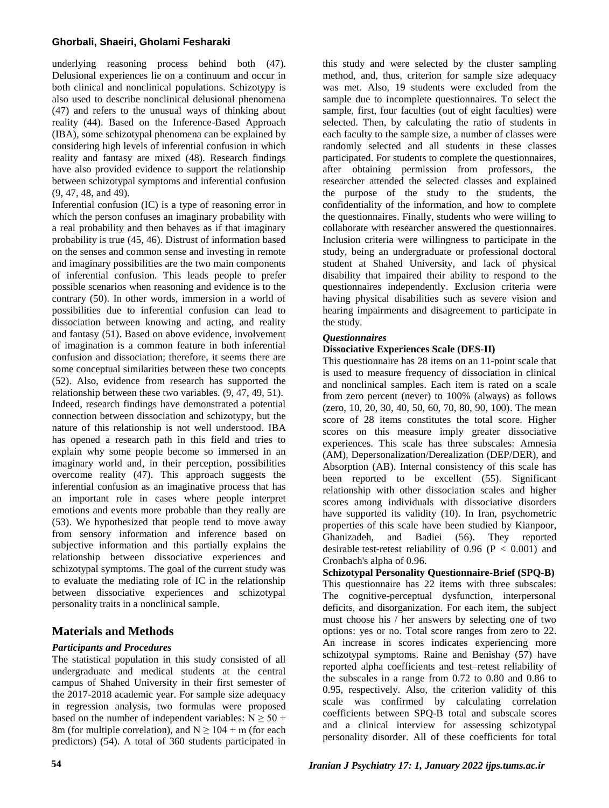## **Ghorbali, Shaeiri, Gholami Fesharaki**

underlying reasoning process behind both (47). Delusional experiences lie on a continuum and occur in both clinical and nonclinical populations. Schizotypy is also used to describe nonclinical delusional phenomena (47) and refers to the unusual ways of thinking about reality (44). Based on the Inference-Based Approach (IBA), some schizotypal phenomena can be explained by considering high levels of inferential confusion in which reality and fantasy are mixed (48). Research findings have also provided evidence to support the relationship between schizotypal symptoms and inferential confusion (9, 47, 48, and 49).

Inferential confusion (IC) is a type of reasoning error in which the person confuses an imaginary probability with a real probability and then behaves as if that imaginary probability is true (45, 46). Distrust of information based on the senses and common sense and investing in remote and imaginary possibilities are the two main components of inferential confusion. This leads people to prefer possible scenarios when reasoning and evidence is to the contrary (50). In other words, immersion in a world of possibilities due to inferential confusion can lead to dissociation between knowing and acting, and reality and fantasy (51). Based on above evidence, involvement of imagination is a common feature in both inferential confusion and dissociation; therefore, it seems there are some conceptual similarities between these two concepts (52). Also, evidence from research has supported the relationship between these two variables. (9, 47, 49, 51). Indeed, research findings have demonstrated a potential connection between dissociation and schizotypy, but the nature of this relationship is not well understood. IBA has opened a research path in this field and tries to explain why some people become so immersed in an imaginary world and, in their perception, possibilities overcome reality (47). This approach suggests the inferential confusion as an imaginative process that has an important role in cases where people interpret emotions and events more probable than they really are (53). We hypothesized that people tend to move away from sensory information and inference based on subjective information and this partially explains the relationship between dissociative experiences and schizotypal symptoms. The goal of the current study was to evaluate the mediating role of IC in the relationship between dissociative experiences and schizotypal personality traits in a nonclinical sample.

## **Materials and Methods**

## *Participants and Procedures*

The statistical population in this study consisted of all undergraduate and medical students at the central campus of Shahed University in their first semester of the 2017-2018 academic year. For sample size adequacy in regression analysis, two formulas were proposed based on the number of independent variables:  $N \ge 50 +$ 8m (for multiple correlation), and  $N \ge 104 + m$  (for each predictors) (54). A total of 360 students participated in this study and were selected by the cluster sampling method, and, thus, criterion for sample size adequacy was met. Also, 19 students were excluded from the sample due to incomplete questionnaires. To select the sample, first, four faculties (out of eight faculties) were selected. Then, by calculating the ratio of students in each faculty to the sample size, a number of classes were randomly selected and all students in these classes participated. For students to complete the questionnaires, after obtaining permission from professors, the researcher attended the selected classes and explained the purpose of the study to the students, the confidentiality of the information, and how to complete the questionnaires. Finally, students who were willing to collaborate with researcher answered the questionnaires. Inclusion criteria were willingness to participate in the study, being an undergraduate or professional doctoral student at Shahed University, and lack of physical disability that impaired their ability to respond to the questionnaires independently. Exclusion criteria were having physical disabilities such as severe vision and hearing impairments and disagreement to participate in the study.

## *Questionnaires*

### **Dissociative Experiences Scale (DES-II)**

This questionnaire has 28 items on an 11-point scale that is used to measure frequency of dissociation in clinical and nonclinical samples. Each item is rated on a scale from zero percent (never) to 100% (always) as follows (zero, 10, 20, 30, 40, 50, 60, 70, 80, 90, 100). The mean score of 28 items constitutes the total score. Higher scores on this measure imply greater dissociative experiences. This scale has three subscales: Amnesia (AM), Depersonalization/Derealization (DEP/DER), and Absorption (AB). Internal consistency of this scale has been reported to be excellent (55). Significant relationship with other dissociation scales and higher scores among individuals with dissociative disorders have supported its validity (10). In Iran, psychometric properties of this scale have been studied by Kianpoor, Ghanizadeh, and Badiei (56). They reported desirable test-retest reliability of  $0.96$  (P < 0.001) and Cronbach's alpha of 0.96.

**Schizotypal Personality Questionnaire-Brief (SPQ-B)**  This questionnaire has 22 items with three subscales: The cognitive-perceptual dysfunction, interpersonal deficits, and disorganization. For each item, the subject must choose his / her answers by selecting one of two options: yes or no. Total score ranges from zero to 22. An increase in scores indicates experiencing more schizotypal symptoms. Raine and Benishay (57) have reported alpha coefficients and test–retest reliability of the subscales in a range from 0.72 to 0.80 and 0.86 to 0.95, respectively. Also, the criterion validity of this scale was confirmed by calculating correlation coefficients between SPQ-B total and subscale scores and a clinical interview for assessing schizotypal personality disorder. All of these coefficients for total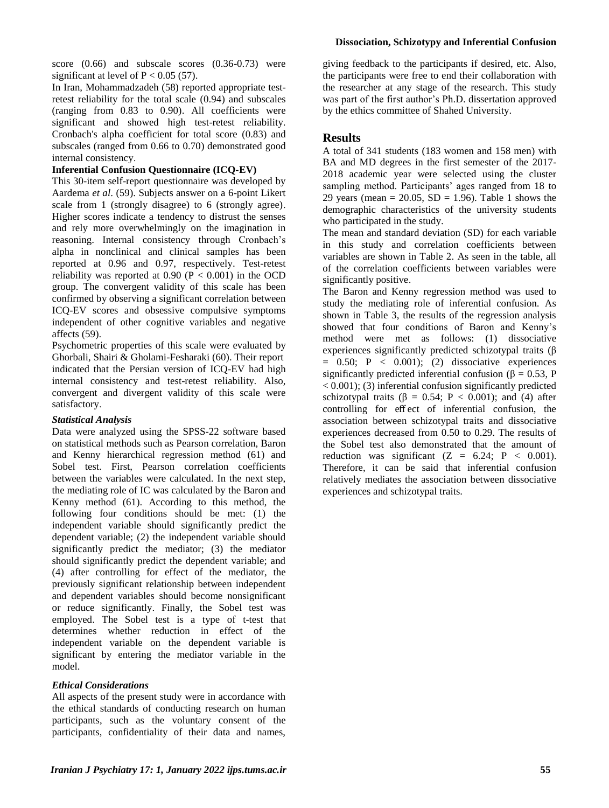#### **Dissociation, Schizotypy and Inferential Confusion**

score (0.66) and subscale scores (0.36-0.73) were significant at level of  $P < 0.05$  (57).

In Iran, Mohammadzadeh (58) reported appropriate testretest reliability for the total scale (0.94) and subscales (ranging from 0.83 to 0.90). All coefficients were significant and showed high test-retest reliability. Cronbach's alpha coefficient for total score (0.83) and subscales (ranged from 0.66 to 0.70) demonstrated good internal consistency.

## **Inferential Confusion Questionnaire (ICQ-EV)**

This 30-item self-report questionnaire was developed by Aardema *et al*. (59). Subjects answer on a 6-point Likert scale from 1 (strongly disagree) to 6 (strongly agree). Higher scores indicate a tendency to distrust the senses and rely more overwhelmingly on the imagination in reasoning. Internal consistency through Cronbach's alpha in nonclinical and clinical samples has been reported at 0.96 and 0.97, respectively. Test-retest reliability was reported at  $0.90$  (P < 0.001) in the OCD group. The convergent validity of this scale has been confirmed by observing a significant correlation between ICQ-EV scores and obsessive compulsive symptoms independent of other cognitive variables and negative affects (59).

Psychometric properties of this scale were evaluated by Ghorbali, Shairi & Gholami-Fesharaki (60). Their report indicated that the Persian version of ICQ-EV had high internal consistency and test-retest reliability. Also, convergent and divergent validity of this scale were satisfactory.

#### *Statistical Analysis*

Data were analyzed using the SPSS-22 software based on statistical methods such as Pearson correlation, Baron and Kenny hierarchical regression method (61) and Sobel test. First, Pearson correlation coefficients between the variables were calculated. In the next step, the mediating role of IC was calculated by the Baron and Kenny method (61). According to this method, the following four conditions should be met: (1) the independent variable should significantly predict the dependent variable; (2) the independent variable should significantly predict the mediator; (3) the mediator should significantly predict the dependent variable; and (4) after controlling for effect of the mediator, the previously significant relationship between independent and dependent variables should become nonsignificant or reduce significantly. Finally, the Sobel test was employed. The Sobel test is a type of t-test that determines whether reduction in effect of the independent variable on the dependent variable is significant by entering the mediator variable in the model.

## *Ethical Considerations*

All aspects of the present study were in accordance with the ethical standards of conducting research on human participants, such as the voluntary consent of the participants, confidentiality of their data and names, giving feedback to the participants if desired, etc. Also, the participants were free to end their collaboration with the researcher at any stage of the research. This study was part of the first author's Ph.D. dissertation approved by the ethics committee of Shahed University.

## **Results**

A total of 341 students (183 women and 158 men) with BA and MD degrees in the first semester of the 2017- 2018 academic year were selected using the cluster sampling method. Participants' ages ranged from 18 to 29 years (mean = 20.05,  $SD = 1.96$ ). Table 1 shows the demographic characteristics of the university students who participated in the study.

The mean and standard deviation (SD) for each variable in this study and correlation coefficients between variables are shown in Table 2. As seen in the table, all of the correlation coefficients between variables were significantly positive.

The Baron and Kenny regression method was used to study the mediating role of inferential confusion. As shown in Table 3, the results of the regression analysis showed that four conditions of Baron and Kenny's method were met as follows: (1) dissociative experiences significantly predicted schizotypal traits (β  $= 0.50;$  P  $< 0.001;$  (2) dissociative experiences significantly predicted inferential confusion ( $\beta = 0.53$ , P  $(0.001)$ ; (3) inferential confusion significantly predicted schizotypal traits ( $\beta = 0.54$ ; P < 0.001); and (4) after controlling for eff ect of inferential confusion, the association between schizotypal traits and dissociative experiences decreased from 0.50 to 0.29. The results of the Sobel test also demonstrated that the amount of reduction was significant  $(Z = 6.24; P < 0.001)$ . Therefore, it can be said that inferential confusion relatively mediates the association between dissociative experiences and schizotypal traits.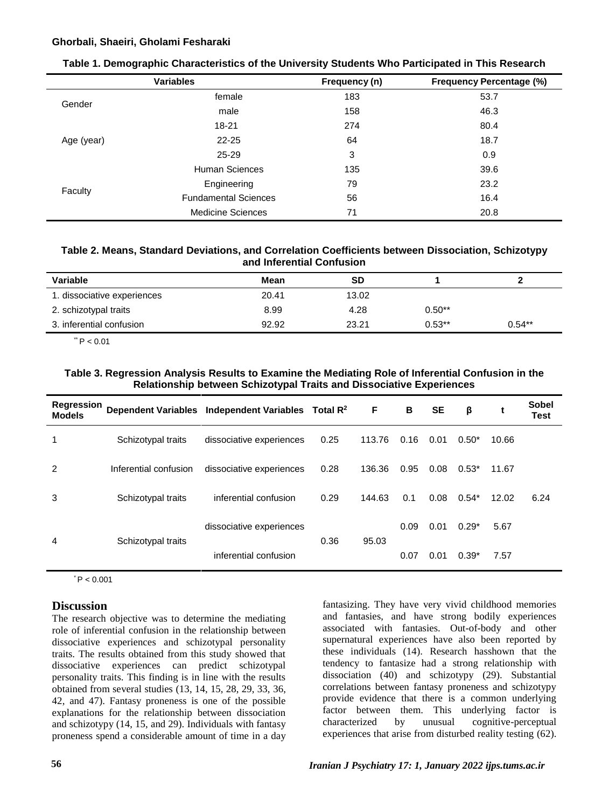#### **Ghorbali, Shaeiri, Gholami Fesharaki**

|            | <b>Variables</b>            | Frequency (n) | <b>Frequency Percentage (%)</b> |
|------------|-----------------------------|---------------|---------------------------------|
| Gender     | female                      | 183           | 53.7                            |
|            | male                        | 158           | 46.3                            |
| Age (year) | $18 - 21$                   | 274           | 80.4                            |
|            | $22 - 25$                   | 64            | 18.7                            |
|            | $25 - 29$                   | 3             | 0.9                             |
|            | Human Sciences              | 135           | 39.6                            |
|            | Engineering                 | 79            | 23.2                            |
| Faculty    | <b>Fundamental Sciences</b> | 56            | 16.4                            |
|            | <b>Medicine Sciences</b>    | 71            | 20.8                            |

### **Table 1. Demographic Characteristics of the University Students Who Participated in This Research**

## **Table 2. Means, Standard Deviations, and Correlation Coefficients between Dissociation, Schizotypy and Inferential Confusion**

| Variable                    | Mean  | SD    |          |          |
|-----------------------------|-------|-------|----------|----------|
| 1. dissociative experiences | 20.41 | 13.02 |          |          |
| 2. schizotypal traits       | 8.99  | 4.28  | $0.50**$ |          |
| 3. inferential confusion    | 92.92 | 23.21 | $0.53**$ | $0.54**$ |

 $*$  P < 0.01

### **Table 3. Regression Analysis Results to Examine the Mediating Role of Inferential Confusion in the Relationship between Schizotypal Traits and Dissociative Experiences**

| Regression<br><b>Models</b> |                       | Dependent Variables Independent Variables Total R <sup>2</sup> |      | F      | в    | <b>SE</b> | β       | t     | Sobel<br>Test |
|-----------------------------|-----------------------|----------------------------------------------------------------|------|--------|------|-----------|---------|-------|---------------|
| 1                           | Schizotypal traits    | dissociative experiences                                       | 0.25 | 113.76 | 0.16 | 0.01      | $0.50*$ | 10.66 |               |
| 2                           | Inferential confusion | dissociative experiences                                       | 0.28 | 136.36 | 0.95 | 0.08      | $0.53*$ | 11.67 |               |
| 3                           | Schizotypal traits    | inferential confusion                                          | 0.29 | 144.63 | 0.1  | 0.08      | $0.54*$ | 12.02 | 6.24          |
| 4                           | Schizotypal traits    | dissociative experiences                                       | 0.36 | 95.03  | 0.09 | 0.01      | $0.29*$ | 5.67  |               |
|                             |                       | inferential confusion                                          |      |        | 0.07 | 0.01      | $0.39*$ | 7.57  |               |

 $^{\circ}$  P < 0.001

## **Discussion**

The research objective was to determine the mediating role of inferential confusion in the relationship between dissociative experiences and schizotypal personality traits. The results obtained from this study showed that dissociative experiences can predict schizotypal personality traits. This finding is in line with the results obtained from several studies (13, 14, 15, 28, 29, 33, 36, 42, and 47). Fantasy proneness is one of the possible explanations for the relationship between dissociation and schizotypy (14, 15, and 29). Individuals with fantasy proneness spend a considerable amount of time in a day

fantasizing. They have very vivid childhood memories and fantasies, and have strong bodily experiences associated with fantasies. Out-of-body and other supernatural experiences have also been reported by these individuals (14). Research hasshown that the tendency to fantasize had a strong relationship with dissociation (40) and schizotypy (29). Substantial correlations between fantasy proneness and schizotypy provide evidence that there is a common underlying factor between them. This underlying factor is characterized by unusual cognitive-perceptual experiences that arise from disturbed reality testing (62).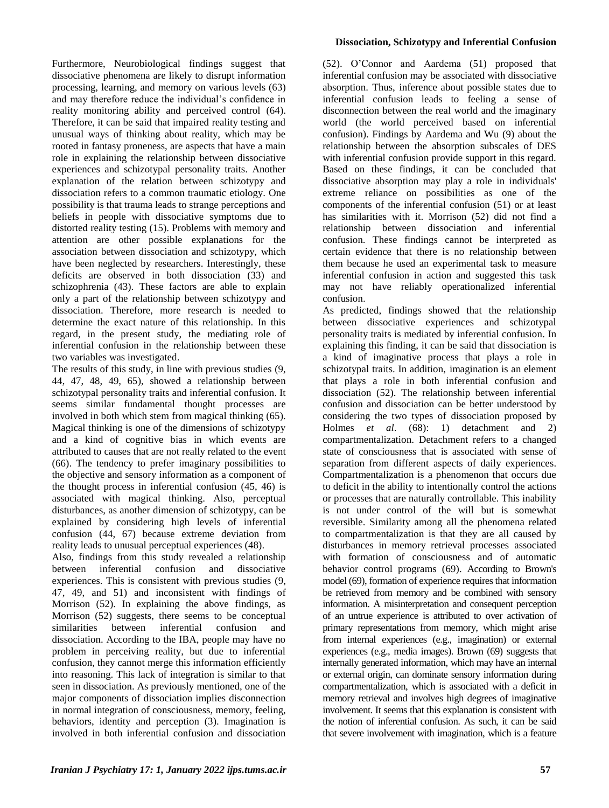Furthermore, Neurobiological findings suggest that dissociative phenomena are likely to disrupt information processing, learning, and memory on various levels (63) and may therefore reduce the individual's confidence in reality monitoring ability and perceived control (64). Therefore, it can be said that impaired reality testing and unusual ways of thinking about reality, which may be rooted in fantasy proneness, are aspects that have a main role in explaining the relationship between dissociative experiences and schizotypal personality traits. Another explanation of the relation between schizotypy and dissociation refers to a common traumatic etiology. One possibility is that trauma leads to strange perceptions and beliefs in people with dissociative symptoms due to distorted reality testing (15). Problems with memory and attention are other possible explanations for the association between dissociation and schizotypy, which have been neglected by researchers. Interestingly, these deficits are observed in both dissociation (33) and schizophrenia (43). These factors are able to explain only a part of the relationship between schizotypy and dissociation. Therefore, more research is needed to determine the exact nature of this relationship. In this regard, in the present study, the mediating role of inferential confusion in the relationship between these two variables was investigated.

The results of this study, in line with previous studies (9, 44, 47, 48, 49, 65), showed a relationship between schizotypal personality traits and inferential confusion. It seems similar fundamental thought processes are involved in both which stem from magical thinking (65). Magical thinking is one of the dimensions of schizotypy and a kind of cognitive bias in which events are attributed to causes that are not really related to the event (66). The tendency to prefer imaginary possibilities to the objective and sensory information as a component of the thought process in inferential confusion (45, 46) is associated with magical thinking. Also, perceptual disturbances, as another dimension of schizotypy, can be explained by considering high levels of inferential confusion (44, 67) because extreme deviation from reality leads to unusual perceptual experiences (48).

Also, findings from this study revealed a relationship between inferential confusion and dissociative experiences. This is consistent with previous studies (9, 47, 49, and 51) and inconsistent with findings of Morrison (52). In explaining the above findings, as Morrison (52) suggests, there seems to be conceptual similarities between inferential confusion and dissociation. According to the IBA, people may have no problem in perceiving reality, but due to inferential confusion, they cannot merge this information efficiently into reasoning. This lack of integration is similar to that seen in dissociation. As previously mentioned, one of the major components of dissociation implies disconnection in normal integration of consciousness, memory, feeling, behaviors, identity and perception (3). Imagination is involved in both inferential confusion and dissociation

#### **Dissociation, Schizotypy and Inferential Confusion**

(52). O'Connor and Aardema (51) proposed that inferential confusion may be associated with dissociative absorption. Thus, inference about possible states due to inferential confusion leads to feeling a sense of disconnection between the real world and the imaginary world (the world perceived based on inferential confusion). Findings by Aardema and Wu (9) about the relationship between the absorption subscales of DES with inferential confusion provide support in this regard. Based on these findings, it can be concluded that dissociative absorption may play a role in individuals' extreme reliance on possibilities as one of the components of the inferential confusion (51) or at least has similarities with it. Morrison (52) did not find a relationship between dissociation and inferential confusion. These findings cannot be interpreted as certain evidence that there is no relationship between them because he used an experimental task to measure inferential confusion in action and suggested this task may not have reliably operationalized inferential confusion.

As predicted, findings showed that the relationship between dissociative experiences and schizotypal personality traits is mediated by inferential confusion. In explaining this finding, it can be said that dissociation is a kind of imaginative process that plays a role in schizotypal traits. In addition, imagination is an element that plays a role in both inferential confusion and dissociation (52). The relationship between inferential confusion and dissociation can be better understood by considering the two types of dissociation proposed by Holmes *et al*. (68): 1) detachment and 2) compartmentalization. Detachment refers to a changed state of consciousness that is associated with sense of separation from different aspects of daily experiences. Compartmentalization is a phenomenon that occurs due to deficit in the ability to intentionally control the actions or processes that are naturally controllable. This inability is not under control of the will but is somewhat reversible. Similarity among all the phenomena related to compartmentalization is that they are all caused by disturbances in memory retrieval processes associated with formation of consciousness and of automatic behavior control programs (69). According to Brown's model (69), formation of experience requires that information be retrieved from memory and be combined with sensory information. A misinterpretation and consequent perception of an untrue experience is attributed to over activation of primary representations from memory, which might arise from internal experiences (e.g., imagination) or external experiences (e.g., media images). Brown (69) suggests that internally generated information, which may have an internal or external origin, can dominate sensory information during compartmentalization, which is associated with a deficit in memory retrieval and involves high degrees of imaginative involvement. It seems that this explanation is consistent with the notion of inferential confusion. As such, it can be said that severe involvement with imagination, which is a feature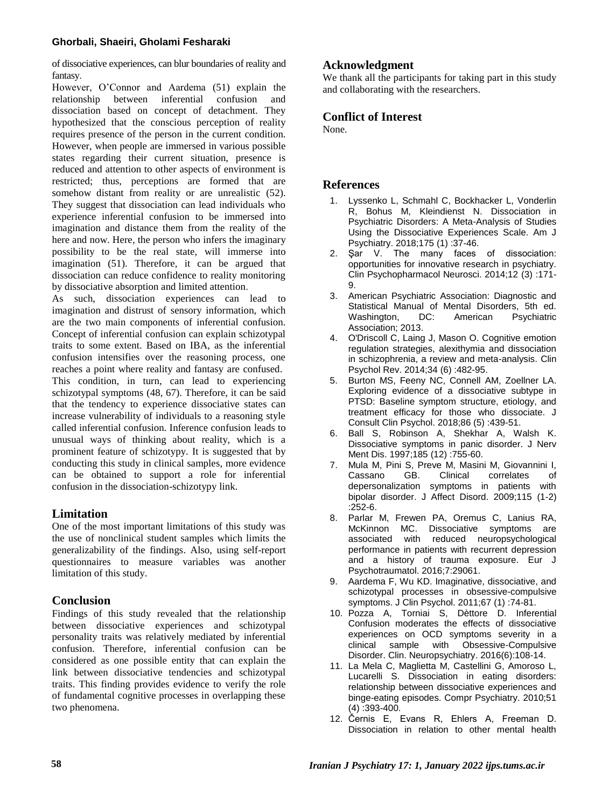## **Ghorbali, Shaeiri, Gholami Fesharaki**

of dissociative experiences, can blur boundaries of reality and fantasy.

However, O'Connor and Aardema (51) explain the relationship between inferential confusion and relationship between inferential confusion and dissociation based on concept of detachment. They hypothesized that the conscious perception of reality requires presence of the person in the current condition. However, when people are immersed in various possible states regarding their current situation, presence is reduced and attention to other aspects of environment is restricted; thus, perceptions are formed that are somehow distant from reality or are unrealistic (52). They suggest that dissociation can lead individuals who experience inferential confusion to be immersed into imagination and distance them from the reality of the here and now. Here, the person who infers the imaginary possibility to be the real state, will immerse into imagination (51). Therefore, it can be argued that dissociation can reduce confidence to reality monitoring by dissociative absorption and limited attention.

As such, dissociation experiences can lead to imagination and distrust of sensory information, which are the two main components of inferential confusion. Concept of inferential confusion can explain schizotypal traits to some extent. Based on IBA, as the inferential confusion intensifies over the reasoning process, one reaches a point where reality and fantasy are confused. This condition, in turn, can lead to experiencing schizotypal symptoms (48, 67). Therefore, it can be said that the tendency to experience dissociative states can increase vulnerability of individuals to a reasoning style called inferential confusion. Inference confusion leads to unusual ways of thinking about reality, which is a prominent feature of schizotypy. It is suggested that by conducting this study in clinical samples, more evidence can be obtained to support a role for inferential confusion in the dissociation-schizotypy link.

## **Limitation**

One of the most important limitations of this study was the use of nonclinical student samples which limits the generalizability of the findings. Also, using self-report questionnaires to measure variables was another limitation of this study.

## **Conclusion**

Findings of this study revealed that the relationship between dissociative experiences and schizotypal personality traits was relatively mediated by inferential confusion. Therefore, inferential confusion can be considered as one possible entity that can explain the link between dissociative tendencies and schizotypal traits. This finding provides evidence to verify the role of fundamental cognitive processes in overlapping these two phenomena.

## **Acknowledgment**

We thank all the participants for taking part in this study and collaborating with the researchers.

## **Conflict of Interest**

None.

## **References**

- 1. Lyssenko L, Schmahl C, Bockhacker L, Vonderlin R, Bohus M, Kleindienst N. Dissociation in Psychiatric Disorders: A Meta-Analysis of Studies Using the Dissociative Experiences Scale. Am J Psychiatry. 2018;175 (1) :37-46.
- 2. Şar V. The many faces of dissociation: opportunities for innovative research in psychiatry. Clin Psychopharmacol Neurosci. 2014;12 (3) :171- 9.
- 3. American Psychiatric Association: Diagnostic and Statistical Manual of Mental Disorders, 5th ed.<br>Washington, DC: American Psychiatric Washington, Association; 2013.
- 4. O'Driscoll C, Laing J, Mason O. Cognitive emotion regulation strategies, alexithymia and dissociation in schizophrenia, a review and meta-analysis. Clin Psychol Rev. 2014;34 (6) :482-95.
- 5. Burton MS, Feeny NC, Connell AM, Zoellner LA. Exploring evidence of a dissociative subtype in PTSD: Baseline symptom structure, etiology, and treatment efficacy for those who dissociate. J Consult Clin Psychol. 2018;86 (5) :439-51.
- 6. Ball S, Robinson A, Shekhar A, Walsh K. Dissociative symptoms in panic disorder. J Nerv Ment Dis. 1997;185 (12) :755-60.
- 7. Mula M, Pini S, Preve M, Masini M, Giovannini I, correlates of depersonalization symptoms in patients with bipolar disorder. J Affect Disord. 2009;115 (1-2) :252-6.
- 8. Parlar M, Frewen PA, Oremus C, Lanius RA, McKinnon MC. Dissociative symptoms are associated with reduced neuropsychological performance in patients with recurrent depression and a history of trauma exposure. Eur J Psychotraumatol. 2016;7:29061.
- 9. Aardema F, Wu KD. Imaginative, dissociative, and schizotypal processes in obsessive-compulsive symptoms. J Clin Psychol. 2011;67 (1) :74-81.
- 10. Pozza A, Torniai S, Dèttore D. Inferential Confusion moderates the effects of dissociative experiences on OCD symptoms severity in a clinical sample with Obsessive-Compulsive Disorder. Clin. Neuropsychiatry. 2016(6):108-14.
- 11. La Mela C, Maglietta M, Castellini G, Amoroso L, Lucarelli S. Dissociation in eating disorders: relationship between dissociative experiences and binge-eating episodes. Compr Psychiatry. 2010;51 (4) :393-400.
- 12. Černis E, Evans R, Ehlers A, Freeman D. Dissociation in relation to other mental health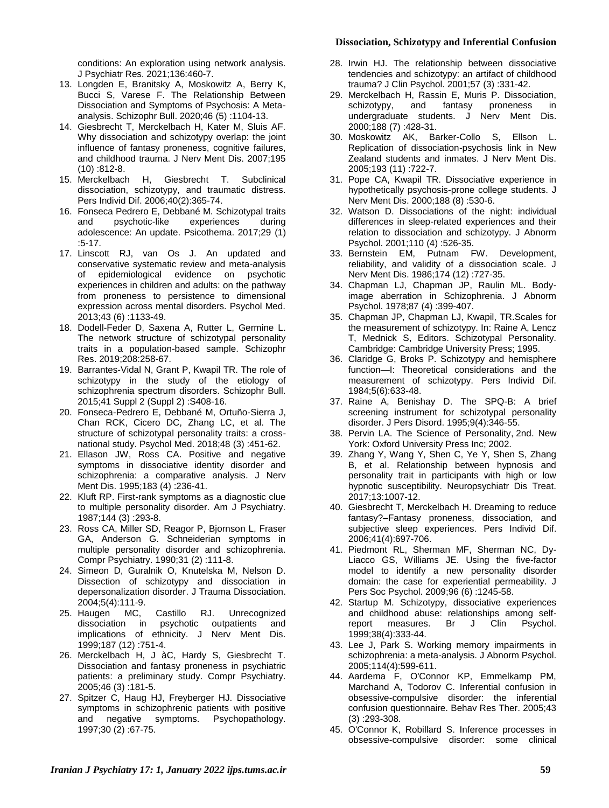#### **Dissociation, Schizotypy and Inferential Confusion**

conditions: An exploration using network analysis. J Psychiatr Res. 2021;136:460-7.

- 13. Longden E, Branitsky A, Moskowitz A, Berry K, Bucci S, Varese F. The Relationship Between Dissociation and Symptoms of Psychosis: A Metaanalysis. Schizophr Bull. 2020;46 (5) :1104-13.
- 14. Giesbrecht T, Merckelbach H, Kater M, Sluis AF. Why dissociation and schizotypy overlap: the joint influence of fantasy proneness, cognitive failures, and childhood trauma. J Nerv Ment Dis. 2007;195 (10) :812-8.
- 15. Merckelbach H, Giesbrecht T. Subclinical dissociation, schizotypy, and traumatic distress. Pers Individ Dif. 2006;40(2):365-74.
- 16. Fonseca Pedrero E, Debbané M. Schizotypal traits<br>and psychotic-like experiences during psychotic-like experiences during adolescence: An update. Psicothema. 2017;29 (1) :5-17.
- 17. Linscott RJ, van Os J. An updated and conservative systematic review and meta-analysis<br>of epidemiological evidence on psychotic epidemiological evidence on psychotic experiences in children and adults: on the pathway from proneness to persistence to dimensional expression across mental disorders. Psychol Med. 2013;43 (6) :1133-49.
- 18. Dodell-Feder D, Saxena A, Rutter L, Germine L. The network structure of schizotypal personality traits in a population-based sample. Schizophr Res. 2019;208:258-67.
- 19. Barrantes-Vidal N, Grant P, Kwapil TR. The role of schizotypy in the study of the etiology of schizophrenia spectrum disorders. Schizophr Bull. 2015;41 Suppl 2 (Suppl 2) :S408-16.
- 20. Fonseca-Pedrero E, Debbané M, Ortuño-Sierra J, Chan RCK, Cicero DC, Zhang LC, et al. The structure of schizotypal personality traits: a crossnational study. Psychol Med. 2018;48 (3) :451-62.
- 21. Ellason JW, Ross CA. Positive and negative symptoms in dissociative identity disorder and schizophrenia: a comparative analysis. J Nerv Ment Dis. 1995;183 (4) :236-41.
- 22. Kluft RP. First-rank symptoms as a diagnostic clue to multiple personality disorder. Am J Psychiatry. 1987;144 (3) :293-8.
- 23. Ross CA, Miller SD, Reagor P, Bjornson L, Fraser GA, Anderson G. Schneiderian symptoms in multiple personality disorder and schizophrenia. Compr Psychiatry. 1990;31 (2) :111-8.
- 24. Simeon D, Guralnik O, Knutelska M, Nelson D. Dissection of schizotypy and dissociation in depersonalization disorder. J Trauma Dissociation.
- 2004;5(4):111-9.<br>25. Haugen MC, 25. Haugen MC, Castillo RJ. Unrecognized dissociation in psychotic outpatients and implications of ethnicity. J Nerv Ment Dis. 1999;187 (12) :751-4.
- 26. Merckelbach H, J àC, Hardy S, Giesbrecht T. Dissociation and fantasy proneness in psychiatric patients: a preliminary study. Compr Psychiatry. 2005;46 (3) :181-5.
- 27. Spitzer C, Haug HJ, Freyberger HJ. Dissociative symptoms in schizophrenic patients with positive and negative symptoms. Psychopathology. 1997;30 (2) :67-75.
- 28. Irwin HJ. The relationship between dissociative tendencies and schizotypy: an artifact of childhood trauma? J Clin Psychol. 2001;57 (3) :331-42.
- 29. Merckelbach H, Rassin E, Muris P. Dissociation, schizotypy, and fantasy proneness in undergraduate students. J Nerv Ment Dis. 2000;188 (7) :428-31.
- 30. Moskowitz AK, Barker-Collo S, Ellson L. Replication of dissociation-psychosis link in New Zealand students and inmates. J Nerv Ment Dis. 2005;193 (11) :722-7.
- 31. Pope CA, Kwapil TR. Dissociative experience in hypothetically psychosis-prone college students. J Nerv Ment Dis. 2000;188 (8) :530-6.
- 32. Watson D. Dissociations of the night: individual differences in sleep-related experiences and their relation to dissociation and schizotypy. J Abnorm Psychol. 2001;110 (4) :526-35.
- 33. Bernstein EM, Putnam FW. Development, reliability, and validity of a dissociation scale. J Nerv Ment Dis. 1986;174 (12) :727-35.
- 34. Chapman LJ, Chapman JP, Raulin ML. Bodyimage aberration in Schizophrenia. J Abnorm Psychol. 1978;87 (4) :399-407.
- 35. Chapman JP, Chapman LJ, Kwapil, TR.Scales for the measurement of schizotypy. In: Raine A, Lencz T, Mednick S, Editors. Schizotypal Personality. Cambridge: Cambridge University Press; 1995.
- 36. Claridge G, Broks P. Schizotypy and hemisphere function—I: Theoretical considerations and the measurement of schizotypy. Pers Individ Dif. 1984;5(6):633-48.
- 37. Raine A, Benishay D. The SPQ-B: A brief screening instrument for schizotypal personality disorder. J Pers Disord. 1995;9(4):346-55.
- 38. Pervin LA. The Science of Personality, 2nd. New York: Oxford University Press Inc; 2002.
- 39. Zhang Y, Wang Y, Shen C, Ye Y, Shen S, Zhang B, et al. Relationship between hypnosis and personality trait in participants with high or low hypnotic susceptibility. Neuropsychiatr Dis Treat. 2017;13:1007-12.
- 40. Giesbrecht T, Merckelbach H. Dreaming to reduce fantasy?–Fantasy proneness, dissociation, and subjective sleep experiences. Pers Individ Dif. 2006;41(4):697-706.
- 41. Piedmont RL, Sherman MF, Sherman NC, Dy-Liacco GS, Williams JE. Using the five-factor model to identify a new personality disorder domain: the case for experiential permeability. J Pers Soc Psychol. 2009;96 (6) :1245-58.
- 42. Startup M. Schizotypy, dissociative experiences and childhood abuse: relationships among self-<br>report measures. Br J Clin Psychol. report measures. Br J 1999;38(4):333-44.
- 43. Lee J, Park S. Working memory impairments in schizophrenia: a meta-analysis. J Abnorm Psychol. 2005;114(4):599-611.
- 44. Aardema F, O'Connor KP, Emmelkamp PM, Marchand A, Todorov C. Inferential confusion in obsessive-compulsive disorder: the inferential confusion questionnaire. Behav Res Ther. 2005;43 (3) :293-308.
- 45. O'Connor K, Robillard S. Inference processes in obsessive-compulsive disorder: some clinical